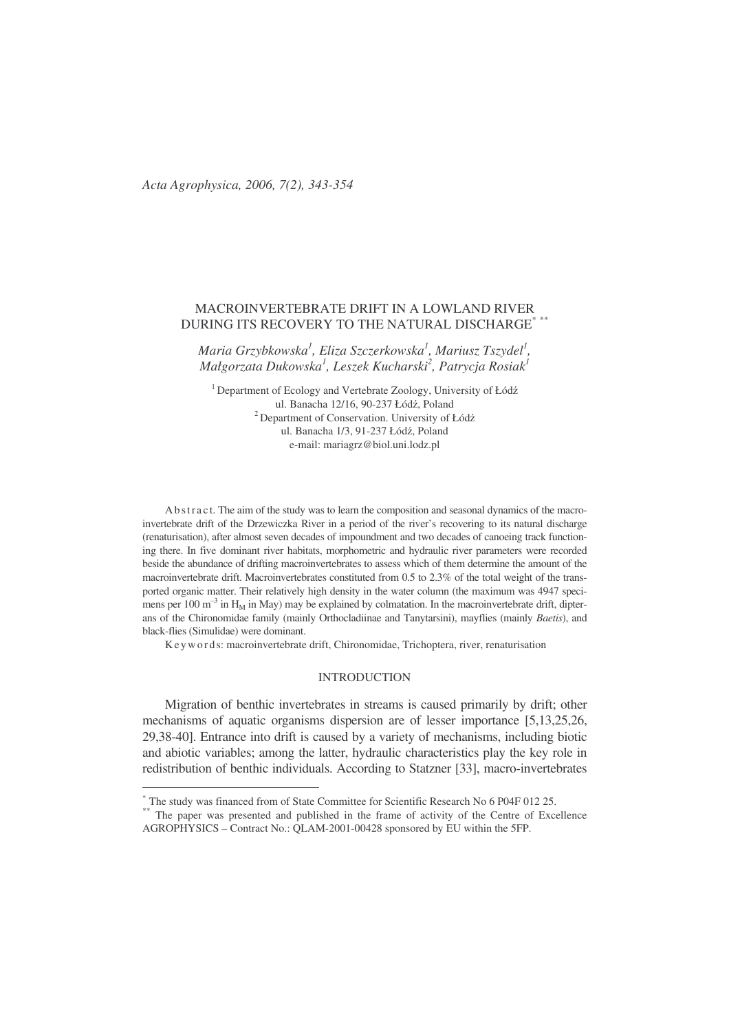# MACROINVERTEBRATE DRIFT IN A LOWLAND RIVER DURING ITS RECOVERY TO THE NATURAL DISCHARGE\* \*\*

*Maria Grzybkowska 1 , Eliza Szczerkowska 1 , Mariusz Tszydel 1 , Małgorzata Dukowska 1 , Leszek Kucharski 2 , Patrycja Rosiak 1*

<sup>1</sup> Department of Ecology and Vertebrate Zoology, University of Łódź ul. Banacha 12/16, 90-237 Łódź, Poland <sup>2</sup> Department of Conservation. University of Łódź ul. Banacha 1/3, 91-237 Łódź, Poland e-mail: mariagrz@biol.uni.lodz.pl

Ab stract. The aim of the study was to learn the composition and seasonal dynamics of the macroinvertebrate drift of the Drzewiczka River in a period of the river's recovering to its natural discharge (renaturisation), after almost seven decades of impoundment and two decades of canoeing track functioning there. In five dominant river habitats, morphometric and hydraulic river parameters were recorded beside the abundance of drifting macroinvertebrates to assess which of them determine the amount of the macroinvertebrate drift. Macroinvertebrates constituted from 0.5 to 2.3% of the total weight of the transported organic matter. Their relatively high density in the water column (the maximum was 4947 specimens per 100 m<sup>-3</sup> in H<sub>M</sub> in May) may be explained by colmatation. In the macroinvertebrate drift, dipterans of the Chironomidae family (mainly Orthocladiinae and Tanytarsini), mayflies (mainly *Baetis*), and black-flies (Simulidae) were dominant.

Ke y words: macroinvertebrate drift, Chironomidae, Trichoptera, river, renaturisation

# INTRODUCTION

Migration of benthic invertebrates in streams is caused primarily by drift; other mechanisms of aquatic organisms dispersion are of lesser importance [5,13,25,26, 29,38-40]. Entrance into drift is caused by a variety of mechanisms, including biotic and abiotic variables; among the latter, hydraulic characteristics play the key role in redistribution of benthic individuals. According to Statzner [33], macro-invertebrates

<sup>\*</sup> The study was financed from of State Committee for Scientific Research No 6 P04F 012 25.

<sup>\*\*</sup> The paper was presented and published in the frame of activity of the Centre of Excellence AGROPHYSICS – Contract No.: QLAM-2001-00428 sponsored by EU within the 5FP.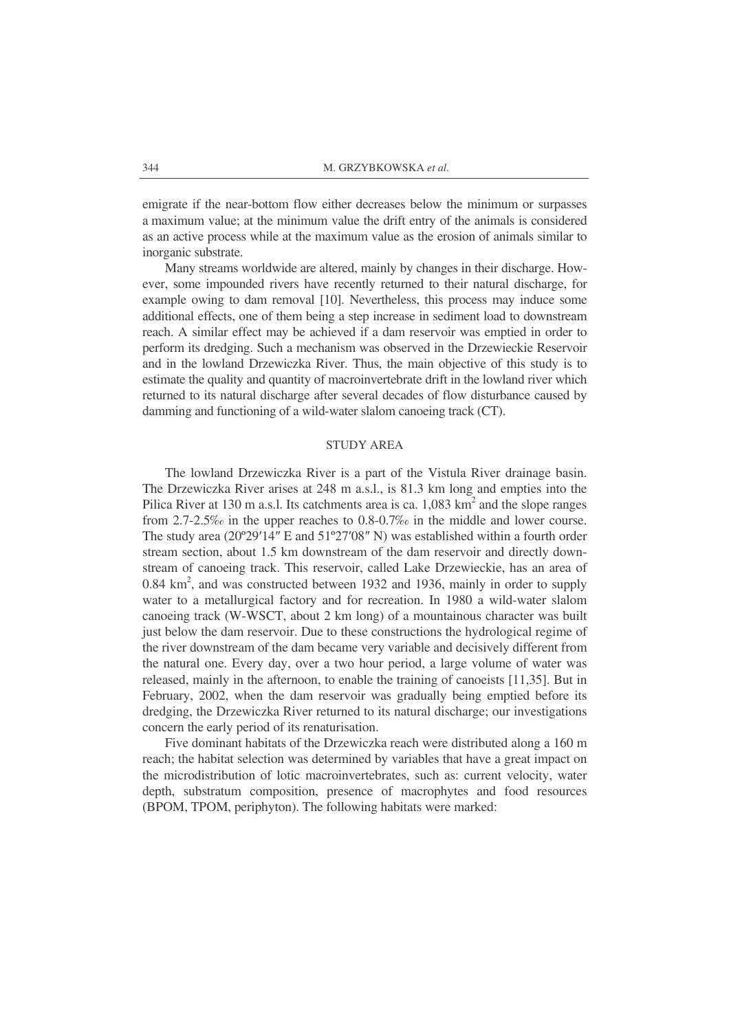emigrate if the near-bottom flow either decreases below the minimum or surpasses a maximum value; at the minimum value the drift entry of the animals is considered as an active process while at the maximum value as the erosion of animals similar to inorganic substrate.

Many streams worldwide are altered, mainly by changes in their discharge. However, some impounded rivers have recently returned to their natural discharge, for example owing to dam removal [10]. Nevertheless, this process may induce some additional effects, one of them being a step increase in sediment load to downstream reach. A similar effect may be achieved if a dam reservoir was emptied in order to perform its dredging. Such a mechanism was observed in the Drzewieckie Reservoir and in the lowland Drzewiczka River. Thus, the main objective of this study is to estimate the quality and quantity of macroinvertebrate drift in the lowland river which returned to its natural discharge after several decades of flow disturbance caused by damming and functioning of a wild-water slalom canoeing track (CT).

#### STUDY AREA

The lowland Drzewiczka River is a part of the Vistula River drainage basin. The Drzewiczka River arises at 248 m a.s.l., is 81.3 km long and empties into the Pilica River at 130 m a.s.l. Its catchments area is ca. 1,083 km<sup>2</sup> and the slope ranges from 2.7-2.5‰ in the upper reaches to 0.8-0.7‰ in the middle and lower course. The study area (20°29'14" E and 51°27'08" N) was established within a fourth order stream section, about 1.5 km downstream of the dam reservoir and directly downstream of canoeing track. This reservoir, called Lake Drzewieckie, has an area of 0.84 km<sup>2</sup>, and was constructed between 1932 and 1936, mainly in order to supply water to a metallurgical factory and for recreation. In 1980 a wild-water slalom canoeing track (W-WSCT, about 2 km long) of a mountainous character was built just below the dam reservoir. Due to these constructions the hydrological regime of the river downstream of the dam became very variable and decisively different from the natural one. Every day, over a two hour period, a large volume of water was released, mainly in the afternoon, to enable the training of canoeists [11,35]. But in February, 2002, when the dam reservoir was gradually being emptied before its dredging, the Drzewiczka River returned to its natural discharge; our investigations concern the early period of its renaturisation.

Five dominant habitats of the Drzewiczka reach were distributed along a 160 m reach; the habitat selection was determined by variables that have a great impact on the microdistribution of lotic macroinvertebrates, such as: current velocity, water depth, substratum composition, presence of macrophytes and food resources (BPOM, TPOM, periphyton). The following habitats were marked: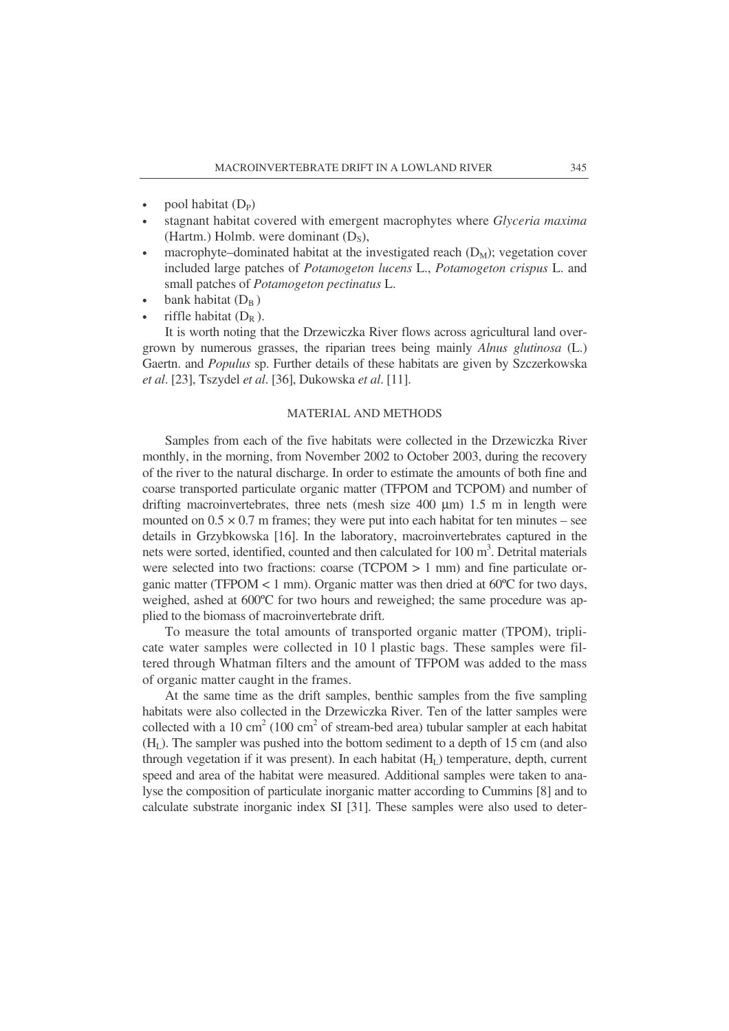- pool habitat  $(D_P)$
- stagnant habitat covered with emergent macrophytes where *Glyceria maxima* (Hartm.) Holmb. were dominant  $(D_s)$ ,
- macrophyte–dominated habitat at the investigated reach  $(D_M)$ ; vegetation cover included large patches of *Potamogeton lucens* L., *Potamogeton crispus* L. and small patches of *Potamogeton pectinatus* L.
- bank habitat  $(D_B)$
- riffle habitat  $(D_R)$ .

It is worth noting that the Drzewiczka River flows across agricultural land overgrown by numerous grasses, the riparian trees being mainly *Alnus glutinosa* (L.) Gaertn. and *Populus* sp. Further details of these habitats are given by Szczerkowska *et al*. [23], Tszydel *et al*. [36], Dukowska *et al*. [11].

# MATERIAL AND METHODS

Samples from each of the five habitats were collected in the Drzewiczka River monthly, in the morning, from November 2002 to October 2003, during the recovery of the river to the natural discharge. In order to estimate the amounts of both fine and coarse transported particulate organic matter (TFPOM and TCPOM) and number of drifting macroinvertebrates, three nets (mesh size  $400 \mu m$ ) 1.5 m in length were mounted on  $0.5 \times 0.7$  m frames; they were put into each habitat for ten minutes – see details in Grzybkowska [16]. In the laboratory, macroinvertebrates captured in the nets were sorted, identified, counted and then calculated for 100 m 3 . Detrital materials were selected into two fractions: coarse (TCPOM > 1 mm) and fine particulate organic matter (TFPOM  $< 1$  mm). Organic matter was then dried at  $60^{\circ}$ C for two days, weighed, ashed at 600ºC for two hours and reweighed; the same procedure was applied to the biomass of macroinvertebrate drift.

To measure the total amounts of transported organic matter (TPOM), triplicate water samples were collected in 10 l plastic bags. These samples were filtered through Whatman filters and the amount of TFPOM was added to the mass of organic matter caught in the frames.

At the same time as the drift samples, benthic samples from the five sampling habitats were also collected in the Drzewiczka River. Ten of the latter samples were collected with a 10 cm<sup>2</sup> (100 cm<sup>2</sup> of stream-bed area) tubular sampler at each habitat  $(H<sub>L</sub>)$ . The sampler was pushed into the bottom sediment to a depth of 15 cm (and also through vegetation if it was present). In each habitat  $(H<sub>L</sub>)$  temperature, depth, current speed and area of the habitat were measured. Additional samples were taken to analyse the composition of particulate inorganic matter according to Cummins [8] and to calculate substrate inorganic index SI [31]. These samples were also used to deter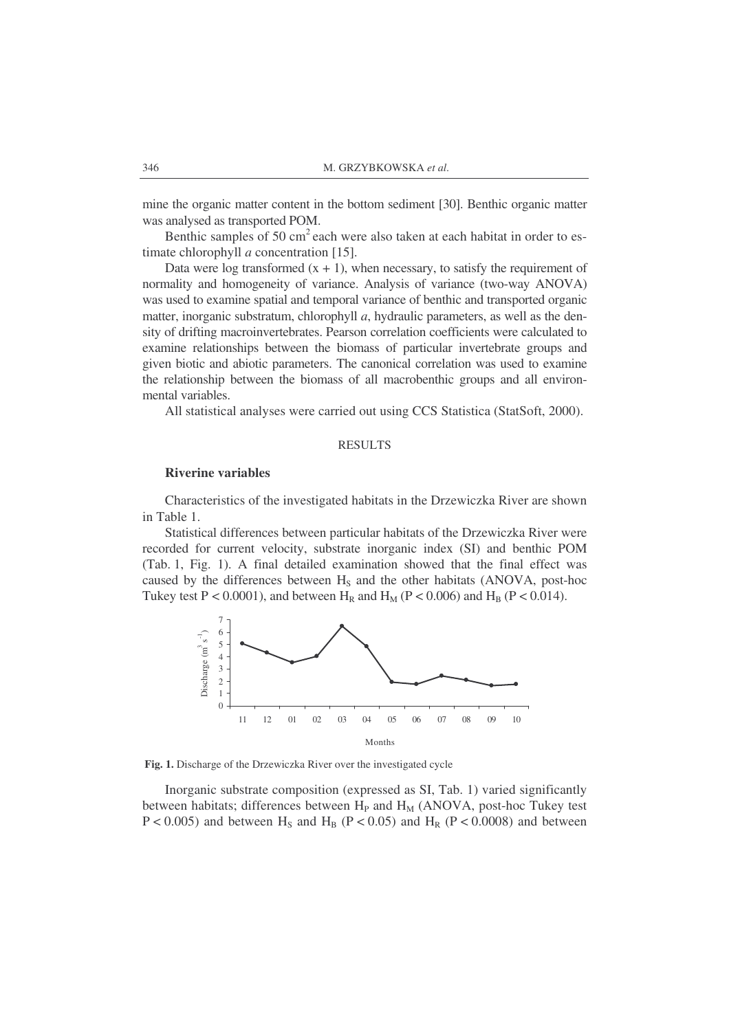mine the organic matter content in the bottom sediment [30]. Benthic organic matter was analysed as transported POM.

Benthic samples of 50 cm<sup>2</sup> each were also taken at each habitat in order to estimate chlorophyll *a* concentration [15].

Data were log transformed  $(x + 1)$ , when necessary, to satisfy the requirement of normality and homogeneity of variance. Analysis of variance (two-way ANOVA) was used to examine spatial and temporal variance of benthic and transported organic matter, inorganic substratum, chlorophyll *a*, hydraulic parameters, as well as the density of drifting macroinvertebrates. Pearson correlation coefficients were calculated to examine relationships between the biomass of particular invertebrate groups and given biotic and abiotic parameters. The canonical correlation was used to examine the relationship between the biomass of all macrobenthic groups and all environmental variables.

All statistical analyses were carried out using CCS Statistica (StatSoft, 2000).

### RESULTS

#### **Riverine variables**

Characteristics of the investigated habitats in the Drzewiczka River are shown in Table 1.

Statistical differences between particular habitats of the Drzewiczka River were recorded for current velocity, substrate inorganic index (SI) and benthic POM (Tab. 1, Fig. 1). A final detailed examination showed that the final effect was caused by the differences between  $H<sub>S</sub>$  and the other habitats (ANOVA, post-hoc Tukey test P < 0.0001), and between H<sub>R</sub> and H<sub>M</sub> (P < 0.006) and H<sub>B</sub> (P < 0.014).



**Fig. 1.** Discharge of the Drzewiczka River over the investigated cycle

Inorganic substrate composition (expressed as SI, Tab. 1) varied significantly between habitats; differences between  $H<sub>P</sub>$  and  $H<sub>M</sub>$  (ANOVA, post-hoc Tukey test  $P < 0.005$ ) and between H<sub>S</sub> and H<sub>B</sub> (P < 0.05) and H<sub>R</sub> (P < 0.0008) and between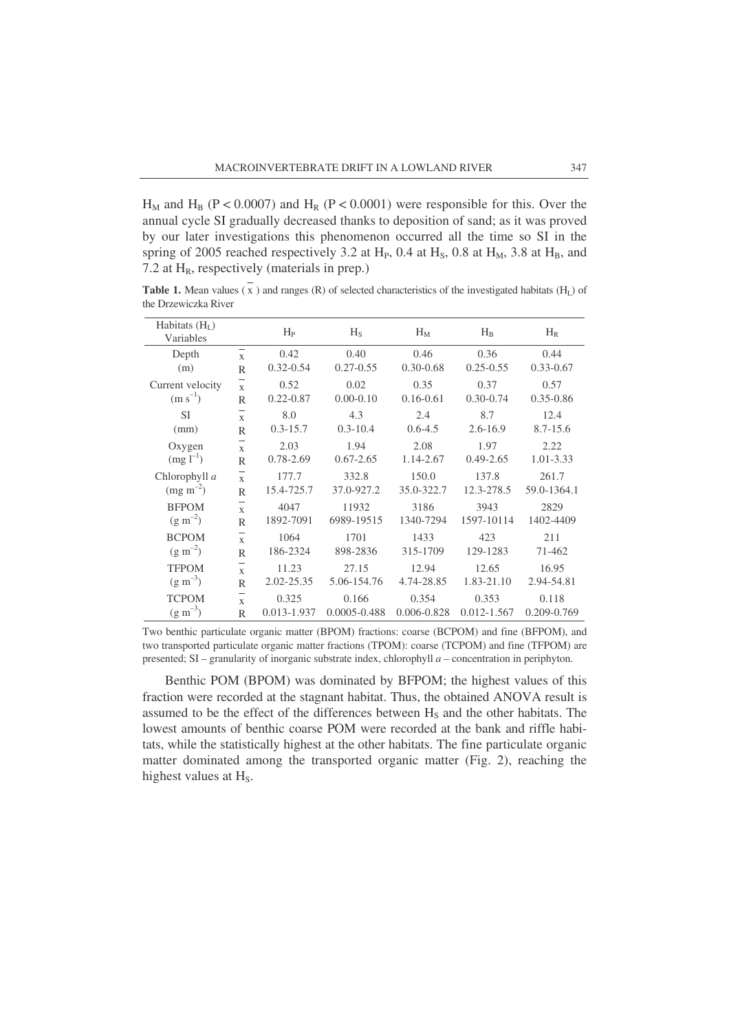$H_M$  and  $H_B$  (P < 0.0007) and  $H_R$  (P < 0.0001) were responsible for this. Over the annual cycle SI gradually decreased thanks to deposition of sand; as it was proved by our later investigations this phenomenon occurred all the time so SI in the spring of 2005 reached respectively 3.2 at  $H<sub>P</sub>$ , 0.4 at  $H<sub>S</sub>$ , 0.8 at  $H<sub>M</sub>$ , 3.8 at  $H<sub>B</sub>$ , and 7.2 at  $H_R$ , respectively (materials in prep.)

**Table 1.** Mean values  $(\bar{x})$  and ranges  $(R)$  of selected characteristics of the investigated habitats  $(H_l)$  of the Drzewiczka River

| Habitats $(H_L)$<br>Variables |                                                          | $H_{P}$               | $H_S$                 | $H_M$                 | $H_B$                 | $H_R$                 |
|-------------------------------|----------------------------------------------------------|-----------------------|-----------------------|-----------------------|-----------------------|-----------------------|
| Depth<br>(m)                  | $\overline{\phantom{0}}$<br>$\mathbf{x}$<br>$\mathbb{R}$ | 0.42<br>$0.32 - 0.54$ | 0.40<br>$0.27 - 0.55$ | 0.46<br>$0.30 - 0.68$ | 0.36<br>$0.25 - 0.55$ | 0.44<br>$0.33 - 0.67$ |
| Current velocity              | $\frac{1}{x}$                                            | 0.52                  | 0.02                  | 0.35                  | 0.37                  | 0.57                  |
| $(m s^{-1})$                  | $\mathbb{R}$                                             | $0.22 - 0.87$         | $0.00 - 0.10$         | $0.16 - 0.61$         | $0.30 - 0.74$         | $0.35 - 0.86$         |
| <b>SI</b>                     | $\mathbf x$                                              | 8.0                   | 4.3                   | 2.4                   | 8.7                   | 12.4                  |
| (mm)                          | $\mathbb{R}$                                             | $0.3 - 15.7$          | $0.3 - 10.4$          | $0.6 - 4.5$           | $2.6 - 16.9$          | $8.7 - 15.6$          |
| Oxygen                        | $\mathbf{x}$                                             | 2.03                  | 1.94                  | 2.08                  | 1.97                  | 2.22                  |
| $(mg l^{-1})$                 | R                                                        | $0.78 - 2.69$         | $0.67 - 2.65$         | 1.14-2.67             | $0.49 - 2.65$         | 1.01-3.33             |
| Chlorophyll a                 | $\frac{1}{x}$                                            | 177.7                 | 332.8                 | 150.0                 | 137.8                 | 261.7                 |
| $(mg \, m^{-2})$              | $\mathsf{R}$                                             | 15.4-725.7            | 37.0-927.2            | 35.0-322.7            | 12.3-278.5            | 59.0-1364.1           |
| <b>BFPOM</b>                  | $\mathbf{x}$                                             | 4047                  | 11932                 | 3186                  | 3943                  | 2829                  |
| $(g m^{-2})$                  | R                                                        | 1892-7091             | 6989-19515            | 1340-7294             | 1597-10114            | 1402-4409             |
| <b>BCPOM</b>                  | $\mathbf{x}$                                             | 1064                  | 1701                  | 1433                  | 423                   | 211                   |
| $(g m^{-2})$                  | $\mathsf{R}$                                             | 186-2324              | 898-2836              | 315-1709              | 129-1283              | 71-462                |
| <b>TFPOM</b>                  | $\mathbf{x}$                                             | 11.23                 | 27.15                 | 12.94                 | 12.65                 | 16.95                 |
| $(g m^{-3})$                  | $\mathbb{R}$                                             | 2.02-25.35            | 5.06-154.76           | 4.74-28.85            | 1.83-21.10            | 2.94-54.81            |
| <b>TCPOM</b>                  | $\mathbf{x}$                                             | 0.325                 | 0.166                 | 0.354                 | 0.353                 | 0.118                 |
| $(g m^{-3})$                  | R                                                        | 0.013-1.937           | $0.0005 - 0.488$      | 0.006-0.828           | $0.012 - 1.567$       | 0.209-0.769           |

Two benthic particulate organic matter (BPOM) fractions: coarse (BCPOM) and fine (BFPOM), and two transported particulate organic matter fractions (TPOM): coarse (TCPOM) and fine (TFPOM) are presented; SI – granularity of inorganic substrate index, chlorophyll *a* – concentration in periphyton.

Benthic POM (BPOM) was dominated by BFPOM; the highest values of this fraction were recorded at the stagnant habitat. Thus, the obtained ANOVA result is assumed to be the effect of the differences between H<sub>S</sub> and the other habitats. The lowest amounts of benthic coarse POM were recorded at the bank and riffle habitats, while the statistically highest at the other habitats. The fine particulate organic matter dominated among the transported organic matter (Fig. 2), reaching the highest values at  $H_s$ .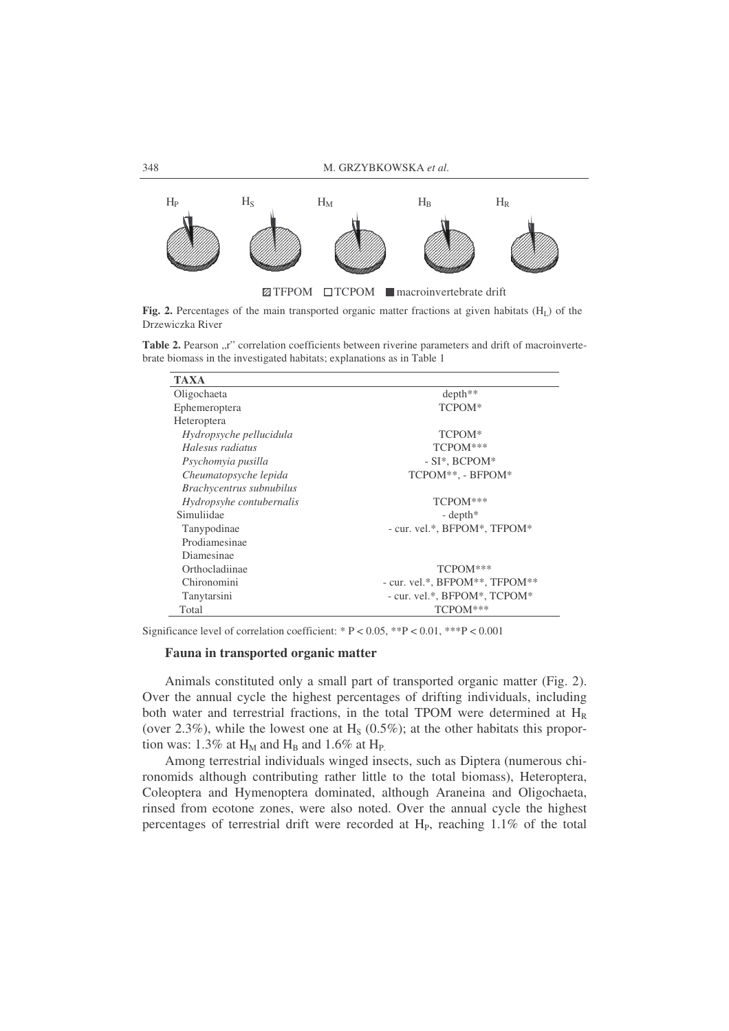

Fig. 2. Percentages of the main transported organic matter fractions at given habitats (H<sub>L</sub>) of the Drzewiczka River

Table 2. Pearson "r" correlation coefficients between riverine parameters and drift of macroinvertebrate biomass in the investigated habitats; explanations as in Table 1

| <b>TAXA</b>              |                                |  |  |
|--------------------------|--------------------------------|--|--|
| Oligochaeta              | depth**                        |  |  |
| Ephemeroptera            | TCPOM*                         |  |  |
| Heteroptera              |                                |  |  |
| Hydropsyche pellucidula  | TCPOM <sup>*</sup>             |  |  |
| Halesus radiatus         | TCPOM***                       |  |  |
| Psychomyia pusilla       | $-SI^*$ , BCPOM $^*$           |  |  |
| Cheumatopsyche lepida    | TCPOM**, - BFPOM*              |  |  |
| Brachycentrus subnubilus |                                |  |  |
| Hydropsyhe contubernalis | TCPOM***                       |  |  |
| Simuliidae               | $-\text{depth}^*$              |  |  |
| Tanypodinae              | - cur. vel.*, BFPOM*, TFPOM*   |  |  |
| Prodiamesinae            |                                |  |  |
| Diamesinae               |                                |  |  |
| Orthocladiinae           | TCPOM***                       |  |  |
| Chironomini              | - cur. vel.*, BFPOM**, TFPOM** |  |  |
| Tanytarsini              | - cur. vel.*, BFPOM*, TCPOM*   |  |  |
| Total                    | TCPOM***                       |  |  |

Significance level of correlation coefficient: \* P < 0.05, \*\*P < 0.01, \*\*\*P < 0.001

# **Fauna in transported organic matter**

Animals constituted only a small part of transported organic matter (Fig. 2). Over the annual cycle the highest percentages of drifting individuals, including both water and terrestrial fractions, in the total TPOM were determined at H<sub>R</sub> (over 2.3%), while the lowest one at  $H<sub>S</sub>$  (0.5%); at the other habitats this proportion was: 1.3% at  $H_M$  and  $H_B$  and 1.6% at  $H_P$ .

Among terrestrial individuals winged insects, such as Diptera (numerous chironomids although contributing rather little to the total biomass), Heteroptera, Coleoptera and Hymenoptera dominated, although Araneina and Oligochaeta, rinsed from ecotone zones, were also noted. Over the annual cycle the highest percentages of terrestrial drift were recorded at  $H<sub>P</sub>$ , reaching  $1.1\%$  of the total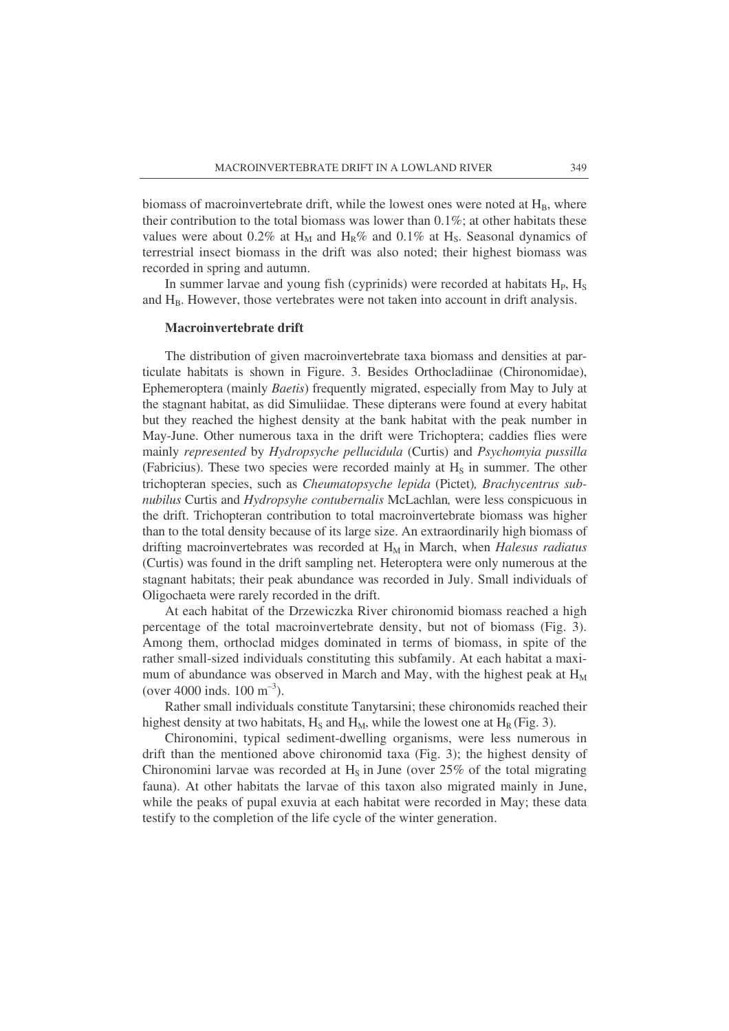biomass of macroinvertebrate drift, while the lowest ones were noted at  $H_B$ , where their contribution to the total biomass was lower than 0.1%; at other habitats these values were about 0.2% at H<sub>M</sub> and H<sub>R</sub>% and 0.1% at H<sub>S</sub>. Seasonal dynamics of terrestrial insect biomass in the drift was also noted; their highest biomass was recorded in spring and autumn.

In summer larvae and young fish (cyprinids) were recorded at habitats  $H_P$ ,  $H_S$ and  $H_B$ . However, those vertebrates were not taken into account in drift analysis.

# **Macroinvertebrate drift**

The distribution of given macroinvertebrate taxa biomass and densities at particulate habitats is shown in Figure. 3. Besides Orthocladiinae (Chironomidae), Ephemeroptera (mainly *Baetis*) frequently migrated, especially from May to July at the stagnant habitat, as did Simuliidae. These dipterans were found at every habitat but they reached the highest density at the bank habitat with the peak number in May-June. Other numerous taxa in the drift were Trichoptera; caddies flies were mainly *represented* by *Hydropsyche pellucidula* (Curtis) and *Psychomyia pussilla* (Fabricius). These two species were recorded mainly at  $H<sub>S</sub>$  in summer. The other trichopteran species, such as *Cheumatopsyche lepida* (Pictet)*, Brachycentrus subnubilus* Curtis and *Hydropsyhe contubernalis* McLachlan*,* were less conspicuous in the drift. Trichopteran contribution to total macroinvertebrate biomass was higher than to the total density because of its large size. An extraordinarily high biomass of drifting macroinvertebrates was recorded at H<sub>M</sub> in March, when *Halesus radiatus* (Curtis) was found in the drift sampling net. Heteroptera were only numerous at the stagnant habitats; their peak abundance was recorded in July. Small individuals of Oligochaeta were rarely recorded in the drift.

At each habitat of the Drzewiczka River chironomid biomass reached a high percentage of the total macroinvertebrate density, but not of biomass (Fig. 3). Among them, orthoclad midges dominated in terms of biomass, in spite of the rather small-sized individuals constituting this subfamily. At each habitat a maximum of abundance was observed in March and May, with the highest peak at  $H_M$ (over 4000 inds.  $100 \text{ m}^{-3}$ ).

Rather small individuals constitute Tanytarsini; these chironomids reached their highest density at two habitats,  $H_S$  and  $H_M$ , while the lowest one at  $H_R$  (Fig. 3).

Chironomini, typical sediment-dwelling organisms, were less numerous in drift than the mentioned above chironomid taxa (Fig. 3); the highest density of Chironomini larvae was recorded at  $H<sub>S</sub>$  in June (over 25% of the total migrating fauna). At other habitats the larvae of this taxon also migrated mainly in June, while the peaks of pupal exuvia at each habitat were recorded in May; these data testify to the completion of the life cycle of the winter generation.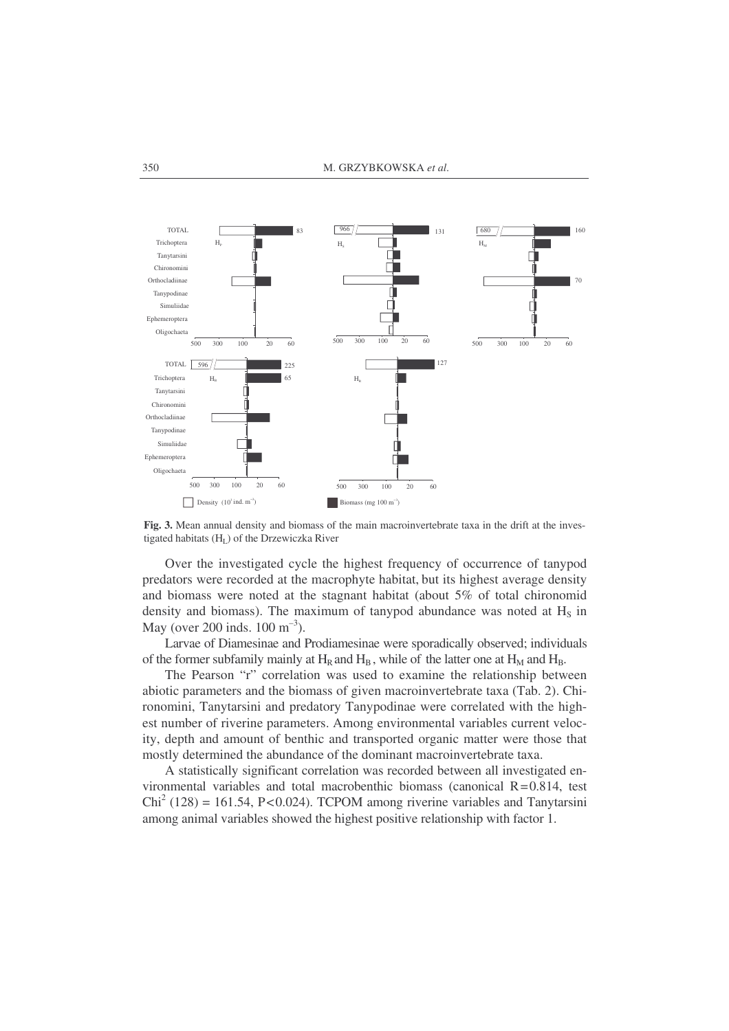

**Fig. 3.** Mean annual density and biomass of the main macroinvertebrate taxa in the drift at the investigated habitats (HL) of the Drzewiczka River

Over the investigated cycle the highest frequency of occurrence of tanypod predators were recorded at the macrophyte habitat, but its highest average density and biomass were noted at the stagnant habitat (about 5% of total chironomid density and biomass). The maximum of tanypod abundance was noted at  $H<sub>S</sub>$  in May (over 200 inds.  $100 \text{ m}^{-3}$ ).

Larvae of Diamesinae and Prodiamesinae were sporadically observed; individuals of the former subfamily mainly at  $H_R$  and  $H_B$ , while of the latter one at  $H_M$  and  $H_B$ .

The Pearson "r" correlation was used to examine the relationship between abiotic parameters and the biomass of given macroinvertebrate taxa (Tab. 2). Chironomini, Tanytarsini and predatory Tanypodinae were correlated with the highest number of riverine parameters. Among environmental variables current velocity, depth and amount of benthic and transported organic matter were those that mostly determined the abundance of the dominant macroinvertebrate taxa.

A statistically significant correlation was recorded between all investigated environmental variables and total macrobenthic biomass (canonical  $R=0.814$ , test  $Chi<sup>2</sup> (128) = 161.54$ , P<0.024). TCPOM among riverine variables and Tanytarsini among animal variables showed the highest positive relationship with factor 1.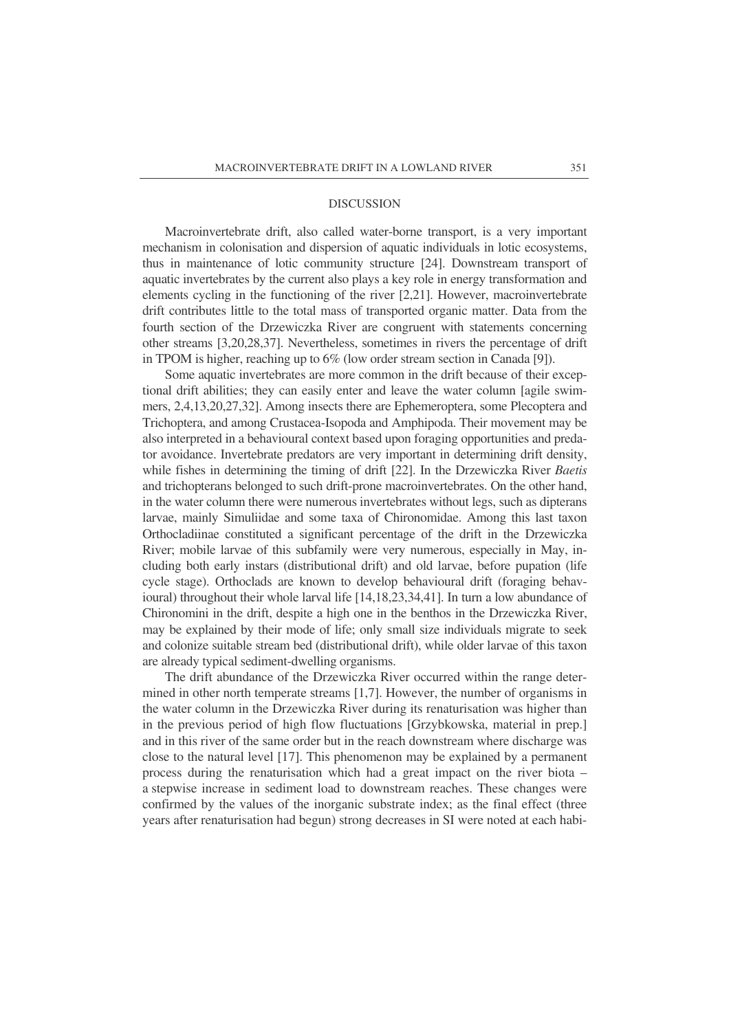#### **DISCUSSION**

Macroinvertebrate drift, also called water-borne transport, is a very important mechanism in colonisation and dispersion of aquatic individuals in lotic ecosystems, thus in maintenance of lotic community structure [24]. Downstream transport of aquatic invertebrates by the current also plays a key role in energy transformation and elements cycling in the functioning of the river [2,21]. However, macroinvertebrate drift contributes little to the total mass of transported organic matter. Data from the fourth section of the Drzewiczka River are congruent with statements concerning other streams [3,20,28,37]. Nevertheless, sometimes in rivers the percentage of drift in TPOM is higher, reaching up to 6% (low order stream section in Canada [9]).

Some aquatic invertebrates are more common in the drift because of their exceptional drift abilities; they can easily enter and leave the water column [agile swimmers, 2,4,13,20,27,32]. Among insects there are Ephemeroptera, some Plecoptera and Trichoptera, and among Crustacea-Isopoda and Amphipoda. Their movement may be also interpreted in a behavioural context based upon foraging opportunities and predator avoidance. Invertebrate predators are very important in determining drift density, while fishes in determining the timing of drift [22]. In the Drzewiczka River *Baetis* and trichopterans belonged to such drift-prone macroinvertebrates. On the other hand, in the water column there were numerous invertebrates without legs, such as dipterans larvae, mainly Simuliidae and some taxa of Chironomidae. Among this last taxon Orthocladiinae constituted a significant percentage of the drift in the Drzewiczka River; mobile larvae of this subfamily were very numerous, especially in May, including both early instars (distributional drift) and old larvae, before pupation (life cycle stage). Orthoclads are known to develop behavioural drift (foraging behavioural) throughout their whole larval life [14,18,23,34,41]. In turn a low abundance of Chironomini in the drift, despite a high one in the benthos in the Drzewiczka River, may be explained by their mode of life; only small size individuals migrate to seek and colonize suitable stream bed (distributional drift), while older larvae of this taxon are already typical sediment-dwelling organisms.

The drift abundance of the Drzewiczka River occurred within the range determined in other north temperate streams [1,7]. However, the number of organisms in the water column in the Drzewiczka River during its renaturisation was higher than in the previous period of high flow fluctuations [Grzybkowska, material in prep.] and in this river of the same order but in the reach downstream where discharge was close to the natural level [17]. This phenomenon may be explained by a permanent process during the renaturisation which had a great impact on the river biota – a stepwise increase in sediment load to downstream reaches. These changes were confirmed by the values of the inorganic substrate index; as the final effect (three years after renaturisation had begun) strong decreases in SI were noted at each habi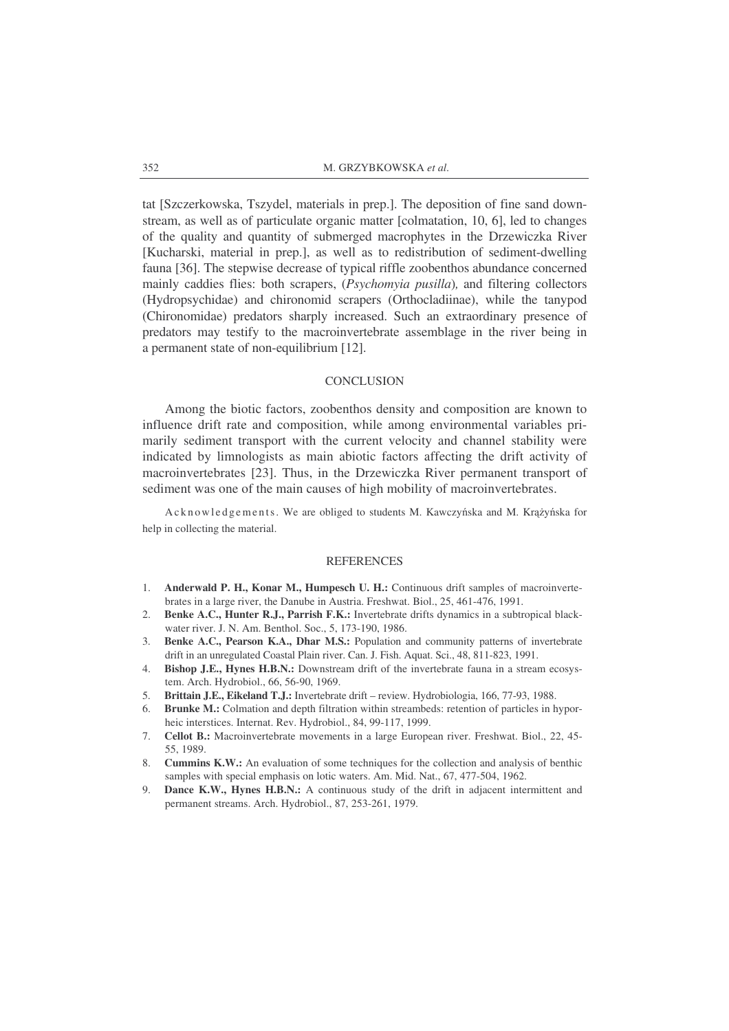tat [Szczerkowska, Tszydel, materials in prep.]. The deposition of fine sand downstream, as well as of particulate organic matter [colmatation, 10, 6], led to changes of the quality and quantity of submerged macrophytes in the Drzewiczka River [Kucharski, material in prep.], as well as to redistribution of sediment-dwelling fauna [36]. The stepwise decrease of typical riffle zoobenthos abundance concerned mainly caddies flies: both scrapers, (*Psychomyia pusilla*)*,* and filtering collectors (Hydropsychidae) and chironomid scrapers (Orthocladiinae), while the tanypod (Chironomidae) predators sharply increased. Such an extraordinary presence of predators may testify to the macroinvertebrate assemblage in the river being in a permanent state of non-equilibrium [12].

### **CONCLUSION**

Among the biotic factors, zoobenthos density and composition are known to influence drift rate and composition, while among environmental variables primarily sediment transport with the current velocity and channel stability were indicated by limnologists as main abiotic factors affecting the drift activity of macroinvertebrates [23]. Thus, in the Drzewiczka River permanent transport of sediment was one of the main causes of high mobility of macroinvertebrates.

Acknowledgements. We are obliged to students M. Kawczyńska and M. Krążyńska for help in collecting the material.

#### **REFERENCES**

- 1. **Anderwald P. H., Konar M., Humpesch U. H.:** Continuous drift samples of macroinvertebrates in a large river, the Danube in Austria. Freshwat. Biol., 25, 461-476, 1991.
- 2. **Benke A.C., Hunter R.J., Parrish F.K.:** Invertebrate drifts dynamics in a subtropical blackwater river. J. N. Am. Benthol. Soc., 5, 173-190, 1986.
- 3. **Benke A.C., Pearson K.A., Dhar M.S.:** Population and community patterns of invertebrate drift in an unregulated Coastal Plain river. Can. J. Fish. Aquat. Sci., 48, 811-823, 1991.
- 4. **Bishop J.E., Hynes H.B.N.:** Downstream drift of the invertebrate fauna in a stream ecosystem. Arch. Hydrobiol., 66, 56-90, 1969.
- 5. **Brittain J.E., Eikeland T.J.:** Invertebrate drift review. Hydrobiologia, 166, 77-93, 1988.
- 6. **Brunke M.:** Colmation and depth filtration within streambeds: retention of particles in hyporheic interstices. Internat. Rev. Hydrobiol., 84, 99-117, 1999.
- 7. **Cellot B.:** Macroinvertebrate movements in a large European river. Freshwat. Biol., 22, 45- 55, 1989.
- 8. **Cummins K.W.:** An evaluation of some techniques for the collection and analysis of benthic samples with special emphasis on lotic waters. Am. Mid. Nat., 67, 477-504, 1962.
- 9. **Dance K.W., Hynes H.B.N.:** A continuous study of the drift in adjacent intermittent and permanent streams. Arch. Hydrobiol., 87, 253-261, 1979.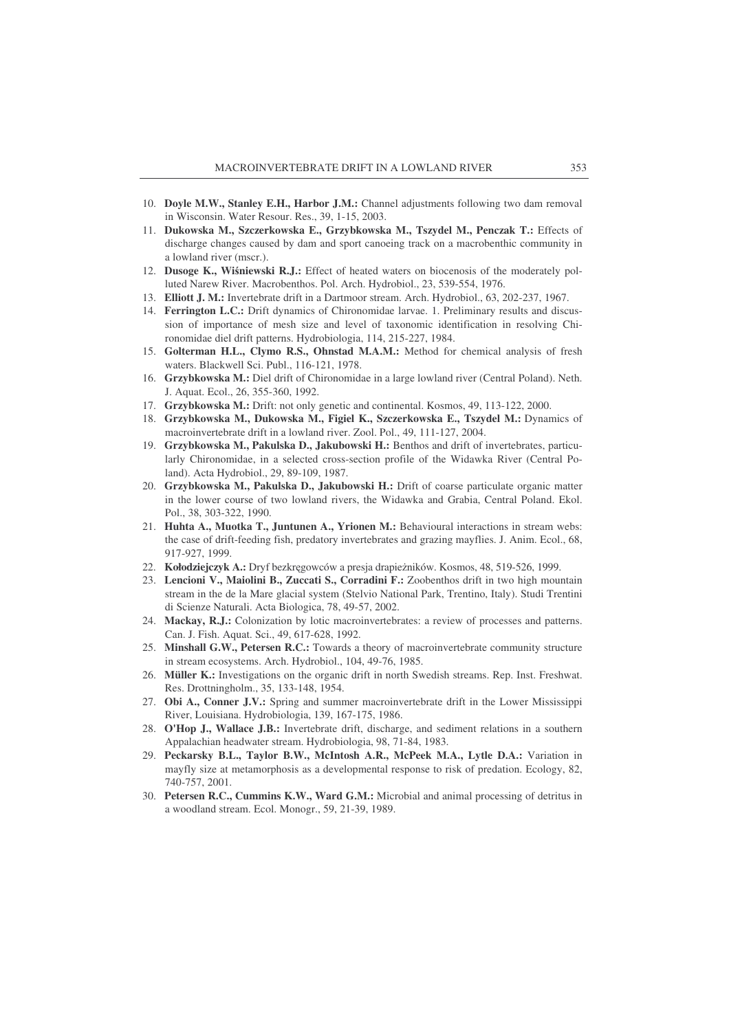- 10. **Doyle M.W., Stanley E.H., Harbor J.M.:** Channel adjustments following two dam removal in Wisconsin. Water Resour. Res., 39, 1-15, 2003.
- 11. **Dukowska M., Szczerkowska E., Grzybkowska M., Tszydel M., Penczak T.:** Effects of discharge changes caused by dam and sport canoeing track on a macrobenthic community in a lowland river (mscr.).
- 12. **Dusoge K., Winiewski R.J.:** Effect of heated waters on biocenosis of the moderately polluted Narew River. Macrobenthos. Pol. Arch. Hydrobiol., 23, 539-554, 1976.
- 13. **Elliott J. M.:** Invertebrate drift in a Dartmoor stream. Arch. Hydrobiol., 63, 202-237, 1967.
- 14. **Ferrington L.C.:** Drift dynamics of Chironomidae larvae. 1. Preliminary results and discussion of importance of mesh size and level of taxonomic identification in resolving Chironomidae diel drift patterns. Hydrobiologia, 114, 215-227, 1984.
- 15. **Golterman H.L., Clymo R.S., Ohnstad M.A.M.:** Method for chemical analysis of fresh waters. Blackwell Sci. Publ., 116-121, 1978.
- 16. **Grzybkowska M.:** Diel drift of Chironomidae in a large lowland river (Central Poland). Neth. J. Aquat. Ecol., 26, 355-360, 1992.
- 17. **Grzybkowska M.:** Drift: not only genetic and continental. Kosmos, 49, 113-122, 2000.
- 18. **Grzybkowska M., Dukowska M., Figiel K., Szczerkowska E., Tszydel M.:** Dynamics of macroinvertebrate drift in a lowland river. Zool. Pol., 49, 111-127, 2004.
- 19. **Grzybkowska M., Pakulska D., Jakubowski H.:** Benthos and drift of invertebrates, particularly Chironomidae, in a selected cross-section profile of the Widawka River (Central Poland). Acta Hydrobiol., 29, 89-109, 1987.
- 20. **Grzybkowska M., Pakulska D., Jakubowski H.:** Drift of coarse particulate organic matter in the lower course of two lowland rivers, the Widawka and Grabia, Central Poland. Ekol. Pol., 38, 303-322, 1990.
- 21. **Huhta A., Muotka T., Juntunen A., Yrionen M.:** Behavioural interactions in stream webs: the case of drift-feeding fish, predatory invertebrates and grazing mayflies. J. Anim. Ecol., 68, 917-927, 1999.
- 22. Kołodziejczyk A.: Dryf bezkręgowców a presja drapieżników. Kosmos, 48, 519-526, 1999.
- 23. **Lencioni V., Maiolini B., Zuccati S., Corradini F.:** Zoobenthos drift in two high mountain stream in the de la Mare glacial system (Stelvio National Park, Trentino, Italy). Studi Trentini di Scienze Naturali. Acta Biologica, 78, 49-57, 2002.
- 24. **Mackay, R.J.:** Colonization by lotic macroinvertebrates: a review of processes and patterns. Can. J. Fish. Aquat. Sci., 49, 617-628, 1992.
- 25. **Minshall G.W., Petersen R.C.:** Towards a theory of macroinvertebrate community structure in stream ecosystems. Arch. Hydrobiol., 104, 49-76, 1985.
- 26. **Müller K.:** Investigations on the organic drift in north Swedish streams. Rep. Inst. Freshwat. Res. Drottningholm., 35, 133-148, 1954.
- 27. **Obi A., Conner J.V.:** Spring and summer macroinvertebrate drift in the Lower Mississippi River, Louisiana. Hydrobiologia, 139, 167-175, 1986.
- 28. **O'Hop J., Wallace J.B.:** Invertebrate drift, discharge, and sediment relations in a southern Appalachian headwater stream. Hydrobiologia, 98, 71-84, 1983.
- 29. **Peckarsky B.L., Taylor B.W., McIntosh A.R., McPeek M.A., Lytle D.A.:** Variation in mayfly size at metamorphosis as a developmental response to risk of predation. Ecology, 82, 740-757, 2001.
- 30. **Petersen R.C., Cummins K.W., Ward G.M.:** Microbial and animal processing of detritus in a woodland stream. Ecol. Monogr., 59, 21-39, 1989.